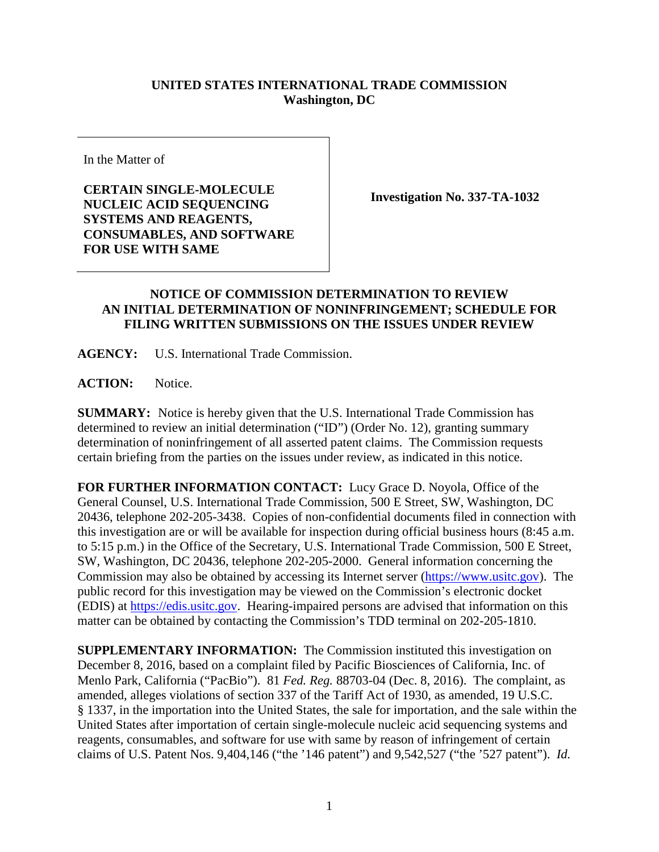## **UNITED STATES INTERNATIONAL TRADE COMMISSION Washington, DC**

In the Matter of

**CERTAIN SINGLE-MOLECULE NUCLEIC ACID SEQUENCING SYSTEMS AND REAGENTS, CONSUMABLES, AND SOFTWARE FOR USE WITH SAME** 

**Investigation No. 337-TA-1032**

## **NOTICE OF COMMISSION DETERMINATION TO REVIEW AN INITIAL DETERMINATION OF NONINFRINGEMENT; SCHEDULE FOR FILING WRITTEN SUBMISSIONS ON THE ISSUES UNDER REVIEW**

**AGENCY:** U.S. International Trade Commission.

**ACTION:** Notice.

**SUMMARY:** Notice is hereby given that the U.S. International Trade Commission has determined to review an initial determination ("ID") (Order No. 12), granting summary determination of noninfringement of all asserted patent claims. The Commission requests certain briefing from the parties on the issues under review, as indicated in this notice.

**FOR FURTHER INFORMATION CONTACT:** Lucy Grace D. Noyola, Office of the General Counsel, U.S. International Trade Commission, 500 E Street, SW, Washington, DC 20436, telephone 202-205-3438. Copies of non-confidential documents filed in connection with this investigation are or will be available for inspection during official business hours (8:45 a.m. to 5:15 p.m.) in the Office of the Secretary, U.S. International Trade Commission, 500 E Street, SW, Washington, DC 20436, telephone 202-205-2000. General information concerning the Commission may also be obtained by accessing its Internet server [\(https://www.usitc.gov\)](http://www.usitc.gov/). The public record for this investigation may be viewed on the Commission's electronic docket (EDIS) at [https://edis.usitc.gov.](http://edis.usitc.gov/) Hearing-impaired persons are advised that information on this matter can be obtained by contacting the Commission's TDD terminal on 202-205-1810.

**SUPPLEMENTARY INFORMATION:** The Commission instituted this investigation on December 8, 2016, based on a complaint filed by Pacific Biosciences of California, Inc. of Menlo Park, California ("PacBio"). 81 *Fed. Reg.* 88703-04 (Dec. 8, 2016). The complaint, as amended, alleges violations of section 337 of the Tariff Act of 1930, as amended, 19 U.S.C. § 1337, in the importation into the United States, the sale for importation, and the sale within the United States after importation of certain single-molecule nucleic acid sequencing systems and reagents, consumables, and software for use with same by reason of infringement of certain claims of U.S. Patent Nos. 9,404,146 ("the '146 patent") and 9,542,527 ("the '527 patent"). *Id.*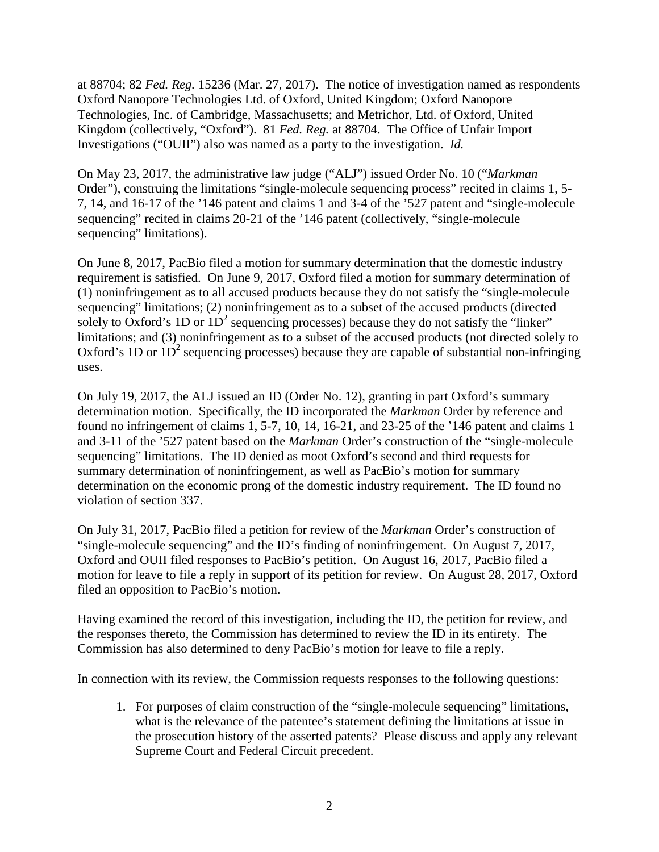at 88704; 82 *Fed. Reg.* 15236 (Mar. 27, 2017). The notice of investigation named as respondents Oxford Nanopore Technologies Ltd. of Oxford, United Kingdom; Oxford Nanopore Technologies, Inc. of Cambridge, Massachusetts; and Metrichor, Ltd. of Oxford, United Kingdom (collectively, "Oxford"). 81 *Fed. Reg.* at 88704. The Office of Unfair Import Investigations ("OUII") also was named as a party to the investigation. *Id.*

On May 23, 2017, the administrative law judge ("ALJ") issued Order No. 10 ("*Markman*  Order"), construing the limitations "single-molecule sequencing process" recited in claims 1, 5- 7, 14, and 16-17 of the '146 patent and claims 1 and 3-4 of the '527 patent and "single-molecule sequencing" recited in claims 20-21 of the '146 patent (collectively, "single-molecule sequencing" limitations).

On June 8, 2017, PacBio filed a motion for summary determination that the domestic industry requirement is satisfied. On June 9, 2017, Oxford filed a motion for summary determination of (1) noninfringement as to all accused products because they do not satisfy the "single-molecule sequencing" limitations; (2) noninfringement as to a subset of the accused products (directed solely to Oxford's 1D or  $1D<sup>2</sup>$  sequencing processes) because they do not satisfy the "linker" limitations; and (3) noninfringement as to a subset of the accused products (not directed solely to Oxford's 1D or  $1D<sup>2</sup>$  sequencing processes) because they are capable of substantial non-infringing uses.

On July 19, 2017, the ALJ issued an ID (Order No. 12), granting in part Oxford's summary determination motion. Specifically, the ID incorporated the *Markman* Order by reference and found no infringement of claims 1, 5-7, 10, 14, 16-21, and 23-25 of the '146 patent and claims 1 and 3-11 of the '527 patent based on the *Markman* Order's construction of the "single-molecule sequencing" limitations. The ID denied as moot Oxford's second and third requests for summary determination of noninfringement, as well as PacBio's motion for summary determination on the economic prong of the domestic industry requirement. The ID found no violation of section 337.

On July 31, 2017, PacBio filed a petition for review of the *Markman* Order's construction of "single-molecule sequencing" and the ID's finding of noninfringement. On August 7, 2017, Oxford and OUII filed responses to PacBio's petition. On August 16, 2017, PacBio filed a motion for leave to file a reply in support of its petition for review. On August 28, 2017, Oxford filed an opposition to PacBio's motion.

Having examined the record of this investigation, including the ID, the petition for review, and the responses thereto, the Commission has determined to review the ID in its entirety. The Commission has also determined to deny PacBio's motion for leave to file a reply.

In connection with its review, the Commission requests responses to the following questions:

1. For purposes of claim construction of the "single-molecule sequencing" limitations, what is the relevance of the patentee's statement defining the limitations at issue in the prosecution history of the asserted patents? Please discuss and apply any relevant Supreme Court and Federal Circuit precedent.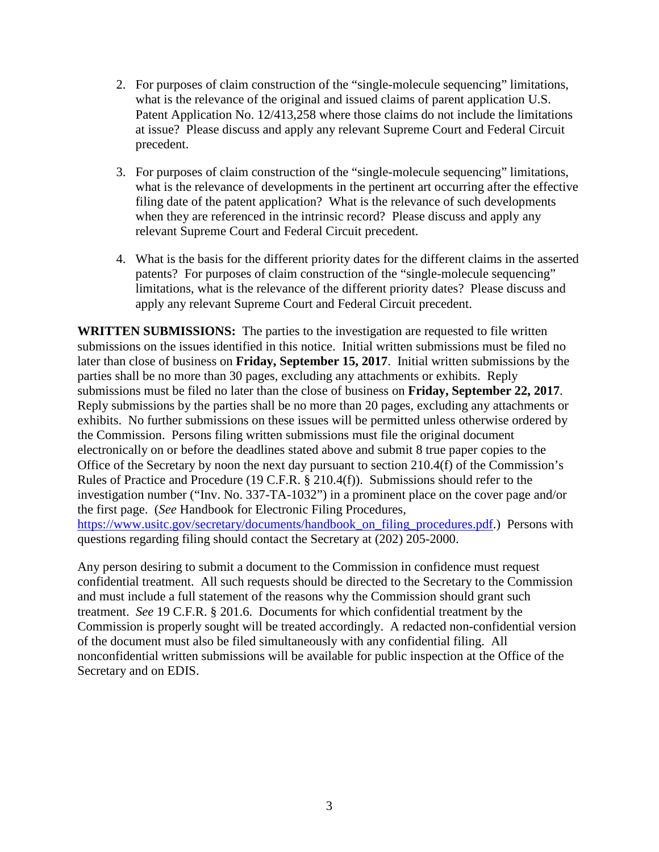- 2. For purposes of claim construction of the "single-molecule sequencing" limitations, what is the relevance of the original and issued claims of parent application U.S. Patent Application No. 12/413,258 where those claims do not include the limitations at issue? Please discuss and apply any relevant Supreme Court and Federal Circuit precedent.
- 3. For purposes of claim construction of the "single-molecule sequencing" limitations, what is the relevance of developments in the pertinent art occurring after the effective filing date of the patent application? What is the relevance of such developments when they are referenced in the intrinsic record? Please discuss and apply any relevant Supreme Court and Federal Circuit precedent.
- 4. What is the basis for the different priority dates for the different claims in the asserted patents? For purposes of claim construction of the "single-molecule sequencing" limitations, what is the relevance of the different priority dates? Please discuss and apply any relevant Supreme Court and Federal Circuit precedent.

**WRITTEN SUBMISSIONS:** The parties to the investigation are requested to file written submissions on the issues identified in this notice. Initial written submissions must be filed no later than close of business on **Friday, September 15, 2017**. Initial written submissions by the parties shall be no more than 30 pages, excluding any attachments or exhibits. Reply submissions must be filed no later than the close of business on **Friday, September 22, 2017**. Reply submissions by the parties shall be no more than 20 pages, excluding any attachments or exhibits. No further submissions on these issues will be permitted unless otherwise ordered by the Commission. Persons filing written submissions must file the original document electronically on or before the deadlines stated above and submit 8 true paper copies to the Office of the Secretary by noon the next day pursuant to section 210.4(f) of the Commission's Rules of Practice and Procedure (19 C.F.R. § 210.4(f)). Submissions should refer to the investigation number ("Inv. No. 337-TA-1032") in a prominent place on the cover page and/or the first page. (*See* Handbook for Electronic Filing Procedures, [https://www.usitc.gov/secretary/documents/handbook\\_on\\_filing\\_procedures.pdf.](https://www.usitc.gov/secretary/documents/handbook_on_filing_procedures.pdf)) Persons with questions regarding filing should contact the Secretary at (202) 205-2000.

Any person desiring to submit a document to the Commission in confidence must request confidential treatment. All such requests should be directed to the Secretary to the Commission and must include a full statement of the reasons why the Commission should grant such treatment. *See* 19 C.F.R. § 201.6. Documents for which confidential treatment by the Commission is properly sought will be treated accordingly. A redacted non-confidential version of the document must also be filed simultaneously with any confidential filing. All nonconfidential written submissions will be available for public inspection at the Office of the Secretary and on EDIS.